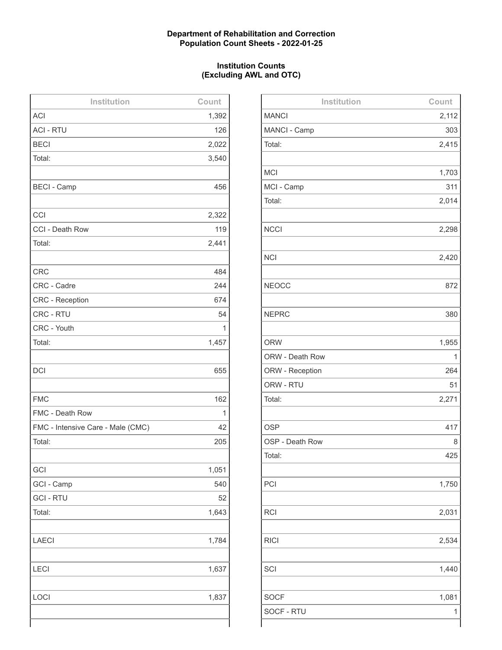## **Department of Rehabilitation and Correction Population Count Sheets - 2022-01-25**

## **Institution Counts (Excluding AWL and OTC)**

| Institution                       | Count |
|-----------------------------------|-------|
| <b>ACI</b>                        | 1,392 |
| <b>ACI - RTU</b>                  | 126   |
| <b>BECI</b>                       | 2,022 |
| Total:                            | 3,540 |
|                                   |       |
| <b>BECI - Camp</b>                | 456   |
|                                   |       |
| CCI                               | 2,322 |
| CCI - Death Row                   | 119   |
| Total:                            | 2,441 |
|                                   |       |
| <b>CRC</b>                        | 484   |
| CRC - Cadre                       | 244   |
| <b>CRC</b> - Reception            | 674   |
| CRC - RTU                         | 54    |
| CRC - Youth                       | 1     |
| Total:                            | 1,457 |
|                                   |       |
| <b>DCI</b>                        | 655   |
|                                   |       |
| <b>FMC</b>                        | 162   |
| FMC - Death Row                   | 1     |
| FMC - Intensive Care - Male (CMC) | 42    |
| Total:                            | 205   |
|                                   |       |
| GCI                               | 1,051 |
| GCI - Camp                        | 540   |
| <b>GCI - RTU</b>                  | 52    |
| Total:                            | 1,643 |
|                                   |       |
| <b>LAECI</b>                      | 1,784 |
|                                   |       |
| LECI                              | 1,637 |
|                                   |       |
| LOCI                              | 1,837 |
|                                   |       |
|                                   |       |

| Institution     | Count |
|-----------------|-------|
| <b>MANCI</b>    | 2,112 |
| MANCI - Camp    | 303   |
| Total:          | 2,415 |
|                 |       |
| <b>MCI</b>      | 1,703 |
| MCI - Camp      | 311   |
| Total:          | 2,014 |
|                 |       |
| <b>NCCI</b>     | 2,298 |
|                 |       |
| <b>NCI</b>      | 2,420 |
|                 |       |
| <b>NEOCC</b>    | 872   |
|                 |       |
| <b>NEPRC</b>    | 380   |
|                 |       |
| <b>ORW</b>      | 1,955 |
| ORW - Death Row | 1     |
| ORW - Reception | 264   |
| ORW - RTU       | 51    |
| Total:          | 2,271 |
|                 |       |
| <b>OSP</b>      | 417   |
| OSP - Death Row | 8     |
| Total:          | 425   |
|                 |       |
| PCI             | 1,750 |
|                 |       |
| <b>RCI</b>      | 2,031 |
|                 |       |
| <b>RICI</b>     | 2,534 |
|                 |       |
| SCI             | 1,440 |
|                 |       |
| <b>SOCF</b>     | 1,081 |
| SOCF - RTU      | 1     |
|                 |       |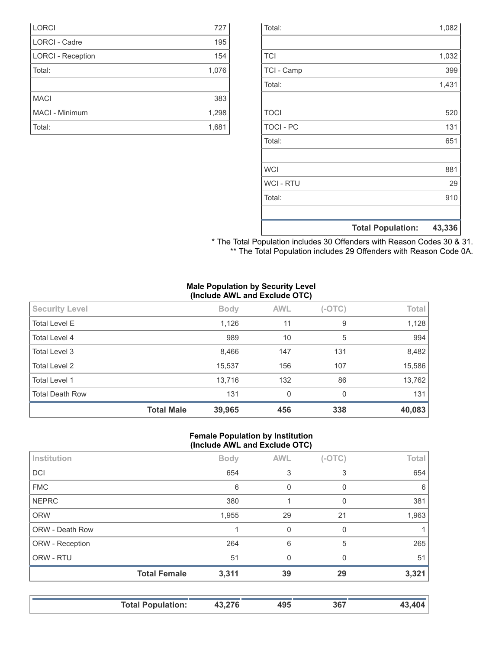|                  | <b>Total Population:</b> | 43,336 |
|------------------|--------------------------|--------|
|                  |                          |        |
| Total:           |                          | 910    |
| <b>WCI - RTU</b> |                          | 29     |
| <b>WCI</b>       |                          | 881    |
|                  |                          |        |
| Total:           |                          | 651    |
| <b>TOCI - PC</b> |                          | 131    |
| <b>TOCI</b>      |                          | 520    |
|                  |                          |        |
| Total:           |                          | 1,431  |
| TCI - Camp       |                          | 399    |
| <b>TCI</b>       |                          | 1,032  |
|                  |                          |        |
| Total:           |                          | 1,082  |

|  |  |  |  | * The Total Population includes 30 Offenders with Reason Codes 30 & 31. |  |  |
|--|--|--|--|-------------------------------------------------------------------------|--|--|
|  |  |  |  | ** The Total Population includes 29 Offenders with Reason Code 0A.      |  |  |

#### **Male Population by Security Level (Include AWL and Exclude OTC)**

| <b>Security Level</b>  |                   | <b>Body</b> | <b>AWL</b> | $(-OTC)$ | Total  |
|------------------------|-------------------|-------------|------------|----------|--------|
| <b>Total Level E</b>   |                   | 1,126       | 11         | 9        | 1,128  |
| Total Level 4          |                   | 989         | 10         | 5        | 994    |
| Total Level 3          |                   | 8,466       | 147        | 131      | 8,482  |
| <b>Total Level 2</b>   |                   | 15,537      | 156        | 107      | 15,586 |
| <b>Total Level 1</b>   |                   | 13,716      | 132        | 86       | 13,762 |
| <b>Total Death Row</b> |                   | 131         | $\Omega$   | 0        | 131    |
|                        | <b>Total Male</b> | 39,965      | 456        | 338      | 40,083 |

#### **Female Population by Institution (Include AWL and Exclude OTC)**

|                        | $\cdot$             |             |              |          |       |
|------------------------|---------------------|-------------|--------------|----------|-------|
| Institution            |                     | <b>Body</b> | <b>AWL</b>   | $(-OTC)$ | Total |
| <b>DCI</b>             |                     | 654         | 3            | 3        | 654   |
| <b>FMC</b>             |                     | 6           | 0            | 0        | 6     |
| <b>NEPRC</b>           |                     | 380         |              | 0        | 381   |
| <b>ORW</b>             |                     | 1,955       | 29           | 21       | 1,963 |
| <b>ORW - Death Row</b> |                     |             | $\mathbf{0}$ | 0        |       |
| ORW - Reception        |                     | 264         | 6            | 5        | 265   |
| ORW - RTU              |                     | 51          | $\Omega$     | $\Omega$ | 51    |
|                        | <b>Total Female</b> | 3,311       | 39           | 29       | 3,321 |
|                        |                     |             |              |          |       |

| <b>Total Population:</b> | 43,276 | 495 | 367 | 43 404 |
|--------------------------|--------|-----|-----|--------|
|                          |        |     |     |        |

| <b>LORCI</b>             | 727   |
|--------------------------|-------|
| <b>LORCI - Cadre</b>     | 195   |
| <b>LORCI - Reception</b> | 154   |
| Total:                   | 1,076 |
|                          |       |
| <b>MACI</b>              | 383   |
| MACI - Minimum           | 1,298 |
| Total:                   | 1,681 |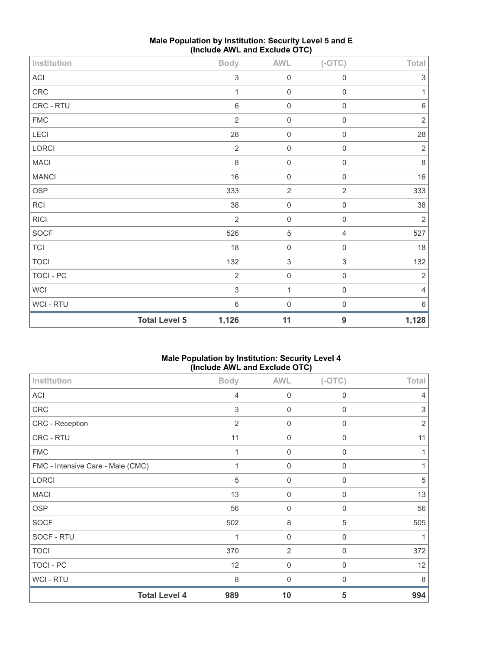| Institution    |                      | <b>Body</b>               | <b>AWL</b>                | $(-OTC)$                  | Total          |
|----------------|----------------------|---------------------------|---------------------------|---------------------------|----------------|
| ACI            |                      | $\ensuremath{\mathsf{3}}$ | $\mathbf 0$               | $\mathsf{O}\xspace$       | $\sqrt{3}$     |
| ${\sf CRC}$    |                      | 1                         | $\mathbf 0$               | $\mathsf{O}\xspace$       | $\mathbf{1}$   |
| CRC - RTU      |                      | $\,6\,$                   | $\mathbf 0$               | $\mathsf 0$               | $\,6\,$        |
| <b>FMC</b>     |                      | $\sqrt{2}$                | $\mathbf 0$               | $\mathbf 0$               | $\sqrt{2}$     |
| LECI           |                      | 28                        | $\mathbf 0$               | $\mathsf 0$               | 28             |
| LORCI          |                      | $\overline{2}$            | $\mathbf 0$               | $\mathsf{O}\xspace$       | $\sqrt{2}$     |
| <b>MACI</b>    |                      | $\,8\,$                   | $\mathbf 0$               | $\mathsf{O}\xspace$       | $\,8\,$        |
| <b>MANCI</b>   |                      | 16                        | $\mathbf 0$               | $\mathsf{O}\xspace$       | $16\,$         |
| OSP            |                      | 333                       | $\overline{2}$            | $\sqrt{2}$                | 333            |
| RCI            |                      | 38                        | $\mathbf 0$               | $\mathsf{O}\xspace$       | 38             |
| <b>RICI</b>    |                      | 2                         | $\mathbf 0$               | $\mathsf{O}\xspace$       | $\sqrt{2}$     |
| SOCF           |                      | 526                       | $\,$ 5 $\,$               | $\overline{4}$            | 527            |
| $\mathsf{TCI}$ |                      | 18                        | $\mathbf 0$               | $\mathsf{O}\xspace$       | 18             |
| <b>TOCI</b>    |                      | 132                       | $\ensuremath{\mathsf{3}}$ | $\ensuremath{\mathsf{3}}$ | 132            |
| TOCI - PC      |                      | $\overline{2}$            | $\mathbf 0$               | $\mathsf 0$               | $\sqrt{2}$     |
| WCI            |                      | $\sqrt{3}$                | $\mathbf{1}$              | $\mathsf{O}\xspace$       | $\overline{4}$ |
| WCI - RTU      |                      | $\,6\,$                   | $\mathbf 0$               | $\mathsf{O}\xspace$       | $6\,$          |
|                | <b>Total Level 5</b> | 1,126                     | 11                        | $9$                       | 1,128          |

## **Male Population by Institution: Security Level 5 and E (Include AWL and Exclude OTC)**

## **Male Population by Institution: Security Level 4 (Include AWL and Exclude OTC)**

| Institution                       | <b>Body</b> | <b>AWL</b>       | $(-OTC)$    | Total          |
|-----------------------------------|-------------|------------------|-------------|----------------|
| ACI                               | 4           | 0                | 0           |                |
| CRC                               | 3           | $\mathbf 0$      | $\mathbf 0$ | 3              |
| CRC - Reception                   | 2           | $\mathbf 0$      | $\mathbf 0$ | $\overline{2}$ |
| CRC - RTU                         | 11          | $\mathbf 0$      | 0           | 11             |
| <b>FMC</b>                        |             | $\mathbf 0$      | 0           |                |
| FMC - Intensive Care - Male (CMC) | 1           | $\mathbf 0$      | $\mathbf 0$ |                |
| LORCI                             | 5           | $\mathbf 0$      | 0           | 5              |
| <b>MACI</b>                       | 13          | $\boldsymbol{0}$ | 0           | 13             |
| <b>OSP</b>                        | 56          | $\mathbf 0$      | $\mathbf 0$ | 56             |
| <b>SOCF</b>                       | 502         | $\,8\,$          | 5           | 505            |
| SOCF - RTU                        |             | $\mathbf 0$      | 0           |                |
| <b>TOCI</b>                       | 370         | 2                | $\mathbf 0$ | 372            |
| TOCI - PC                         | 12          | $\mathbf 0$      | $\Omega$    | 12             |
| <b>WCI-RTU</b>                    | 8           | 0                | 0           | 8              |
| <b>Total Level 4</b>              | 989         | 10               | 5           | 994            |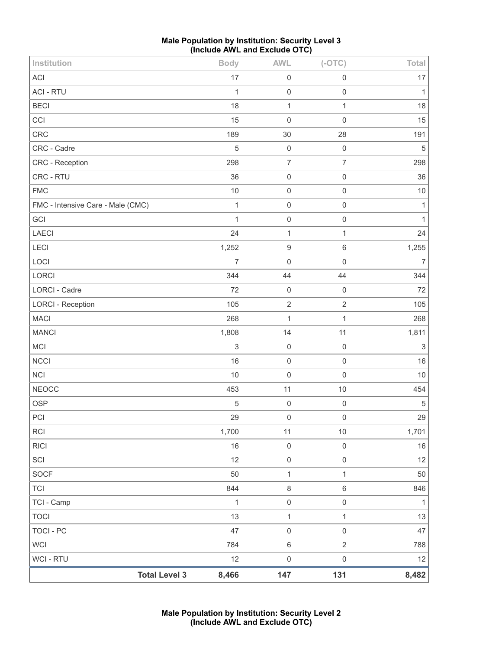| <b>Male Population by Institution: Security Level 3</b> |
|---------------------------------------------------------|
| (Include AWL and Exclude OTC)                           |

| Institution                       | <b>Body</b>    | <b>AWL</b>               | $(-OTC)$            | Total        |
|-----------------------------------|----------------|--------------------------|---------------------|--------------|
| ACI                               | 17             | $\mathbf 0$              | $\mathsf{O}\xspace$ | 17           |
| <b>ACI - RTU</b>                  | $\mathbf{1}$   | $\mathsf{O}\xspace$      | $\mathbf 0$         | $\mathbf{1}$ |
| <b>BECI</b>                       | 18             | $\mathbf{1}$             | $\mathbf{1}$        | 18           |
| CCI                               | 15             | $\mathbf 0$              | $\mathbf 0$         | 15           |
| CRC                               | 189            | 30                       | 28                  | 191          |
| CRC - Cadre                       | 5              | $\mathbf 0$              | $\mathbf 0$         | $\mathbf 5$  |
| CRC - Reception                   | 298            | $\overline{\mathcal{I}}$ | $\boldsymbol{7}$    | 298          |
| CRC - RTU                         | 36             | $\mathbf 0$              | $\mathsf 0$         | 36           |
| <b>FMC</b>                        | $10$           | $\mathbf 0$              | $\mathbf 0$         | $10$         |
| FMC - Intensive Care - Male (CMC) | $\mathbf 1$    | $\mathbf 0$              | $\mathsf{O}\xspace$ | $\mathbf{1}$ |
| GCI                               | 1              | $\mathbf 0$              | $\mathbf 0$         | $\mathbf{1}$ |
| LAECI                             | 24             | $\mathbf{1}$             | $\mathbf{1}$        | 24           |
| LECI                              | 1,252          | $\boldsymbol{9}$         | $\,6\,$             | 1,255        |
| LOCI                              | $\overline{7}$ | $\mathbf 0$              | $\mathbf 0$         | 7            |
| LORCI                             | 344            | 44                       | 44                  | 344          |
| LORCI - Cadre                     | 72             | $\mathbf 0$              | $\mathbf 0$         | 72           |
| <b>LORCI - Reception</b>          | 105            | $\sqrt{2}$               | $\sqrt{2}$          | 105          |
| <b>MACI</b>                       | 268            | $\mathbf{1}$             | $\mathbf{1}$        | 268          |
| <b>MANCI</b>                      | 1,808          | 14                       | 11                  | 1,811        |
| MCI                               | $\mathsf 3$    | $\mathbf 0$              | $\mathbf 0$         | $\,$ 3 $\,$  |
| NCCI                              | 16             | $\mathsf{O}\xspace$      | $\mathsf{O}\xspace$ | 16           |
| <b>NCI</b>                        | 10             | $\mathbf 0$              | $\mathsf 0$         | 10           |
| <b>NEOCC</b>                      | 453            | 11                       | $10$                | 454          |
| OSP                               | 5              | $\mathbf 0$              | $\mathsf{O}\xspace$ | $\sqrt{5}$   |
| PCI                               | 29             | $\mathsf{O}\xspace$      | $\mathsf{O}\xspace$ | 29           |
| <b>RCI</b>                        | 1,700          | 11                       | $10$                | 1,701        |
| <b>RICI</b>                       | 16             | $\mathbf 0$              | $\mathbf 0$         | 16           |
| SCI                               | 12             | $\mathsf{O}\xspace$      | $\mathsf{O}\xspace$ | 12           |
| SOCF                              | 50             | $\mathbf{1}$             | $\mathbf{1}$        | 50           |
| <b>TCI</b>                        | 844            | $\,8\,$                  | $\,6\,$             | 846          |
| TCI - Camp                        | $\mathbf{1}$   | $\mathsf{O}\xspace$      | $\mathsf 0$         | $\mathbf{1}$ |
| <b>TOCI</b>                       | 13             | $\mathbf{1}$             | $\mathbf{1}$        | 13           |
| <b>TOCI - PC</b>                  | 47             | $\mathsf 0$              | $\mathsf{O}\xspace$ | 47           |
| <b>WCI</b>                        | 784            | 6                        | $\overline{2}$      | 788          |
| WCI - RTU                         | 12             | $\boldsymbol{0}$         | $\mathsf{O}\xspace$ | 12           |
| <b>Total Level 3</b>              | 8,466          | 147                      | 131                 | 8,482        |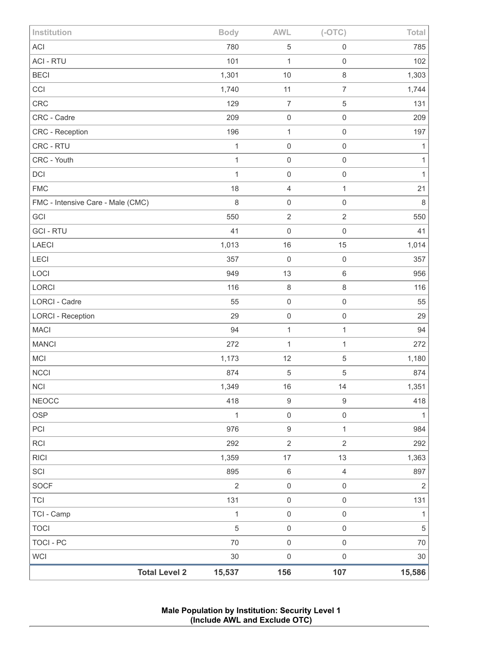| Institution                       | <b>Body</b>    | <b>AWL</b>          | $(-OTC)$            | Total        |
|-----------------------------------|----------------|---------------------|---------------------|--------------|
| <b>ACI</b>                        | 780            | $\,$ 5 $\,$         | $\mathbf 0$         | 785          |
| <b>ACI - RTU</b>                  | 101            | $\mathbf{1}$        | $\mathbf 0$         | 102          |
| <b>BECI</b>                       | 1,301          | 10                  | $\,8\,$             | 1,303        |
| CCI                               | 1,740          | 11                  | $\overline{7}$      | 1,744        |
| CRC                               | 129            | $\overline{7}$      | $\sqrt{5}$          | 131          |
| CRC - Cadre                       | 209            | $\mathbf 0$         | $\mathbf 0$         | 209          |
| CRC - Reception                   | 196            | $\mathbf{1}$        | $\mathbf 0$         | 197          |
| CRC - RTU                         | $\mathbf{1}$   | $\mathbf 0$         | $\mathbf 0$         | $\mathbf{1}$ |
| CRC - Youth                       | $\mathbf{1}$   | $\mathsf{O}\xspace$ | $\mathbf 0$         | 1            |
| DCI                               | $\mathbf{1}$   | $\mathbf 0$         | $\mathbf 0$         | $\mathbf{1}$ |
| <b>FMC</b>                        | 18             | $\sqrt{4}$          | 1                   | 21           |
| FMC - Intensive Care - Male (CMC) | 8              | $\mathbf 0$         | $\mathbf 0$         | $\,8\,$      |
| GCI                               | 550            | $\sqrt{2}$          | $\sqrt{2}$          | 550          |
| <b>GCI - RTU</b>                  | 41             | $\mathbf 0$         | $\mathbf 0$         | 41           |
| LAECI                             | 1,013          | 16                  | 15                  | 1,014        |
| <b>LECI</b>                       | 357            | $\mathbf 0$         | $\mathbf 0$         | 357          |
| LOCI                              | 949            | 13                  | $\,6\,$             | 956          |
| LORCI                             | 116            | $\,8\,$             | $\,8\,$             | 116          |
| <b>LORCI - Cadre</b>              | 55             | $\mathbf 0$         | $\mathbf 0$         | 55           |
| <b>LORCI - Reception</b>          | 29             | $\mathbf 0$         | $\mathbf 0$         | 29           |
| <b>MACI</b>                       | 94             | $\mathbf{1}$        | $\mathbf 1$         | 94           |
| <b>MANCI</b>                      | 272            | $\mathbf{1}$        | 1                   | 272          |
| MCI                               | 1,173          | 12                  | $\sqrt{5}$          | 1,180        |
| <b>NCCI</b>                       | 874            | $\sqrt{5}$          | $\sqrt{5}$          | 874          |
| <b>NCI</b>                        | 1,349          | 16                  | 14                  | 1,351        |
| <b>NEOCC</b>                      | 418            | $9\,$               | $\boldsymbol{9}$    | 418          |
| OSP                               | $\mathbf{1}$   | $\mathbf 0$         | $\mathbf 0$         | $\mathbf{1}$ |
| PCI                               | 976            | $\boldsymbol{9}$    | $\mathbf{1}$        | 984          |
| <b>RCI</b>                        | 292            | $\sqrt{2}$          | $\sqrt{2}$          | 292          |
| <b>RICI</b>                       | 1,359          | $17\,$              | 13                  | 1,363        |
| SCI                               | 895            | $\,6\,$             | $\overline{4}$      | 897          |
| SOCF                              | $\overline{2}$ | $\mbox{O}$          | $\mathbf 0$         | $\sqrt{2}$   |
| <b>TCI</b>                        | 131            | $\mathbf 0$         | $\mathbf 0$         | 131          |
| TCI - Camp                        | $\mathbf{1}$   | $\mathbf 0$         | $\mathbf 0$         | 1            |
| <b>TOCI</b>                       | 5              | $\mathbf 0$         | $\mathbf 0$         | $\sqrt{5}$   |
| <b>TOCI - PC</b>                  | 70             | $\mathbf 0$         | $\mathsf{O}\xspace$ | 70           |
| WCI                               | 30             | $\pmb{0}$           | $\mathsf 0$         | $30\,$       |
| <b>Total Level 2</b>              | 15,537         | 156                 | 107                 | 15,586       |